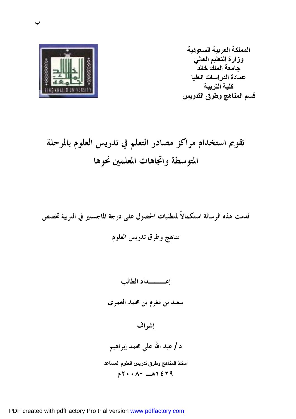

**المملكة العربیة السعودیة وزارة التعلیم العالي جامعة الملك خالد عمادة الدراسات العلیا كلیة التربیة قسم المناھج وطرق التدریس** 

# **تقويم استخدام مراكز مصادر التعلم في تدريس العلوم بالمرحلة المتوسطة واتجاهات المعلمين نحوها**

**قدمت هذه الرسالة استكمالاً لمتطلبات الحصول على درجة الماجستير في التربية تخصص مناهج وطرق تدريس العلوم** 

**إعـــداد الطالب سعيد بن مغرم بن محمد العمري إشراف د / عبد االله علي محمد إبراهيم أستاذ المناھج وطرق تدریس العلوم المساعد ١٤٢٩هـ ٢٠٠٨-م**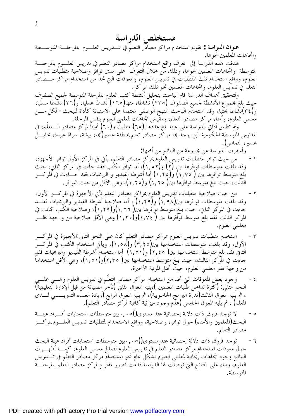## **مستخلص الدراسة**

**عنوان الدراسة :** تقويم استخدام مراكز مصادر التعلم في تـدريس العلـوم بالمرحلـة المتوسـطة واتجاهات المعلمين نحوها.

هدفت هذه الدراسة إلى تعرف واقع استخدام مراكز مصادر التعلم في تدريس العلـوم بالمرحلـة المتوسطة واتجاهات المعلمين نحوها، وذلك من خلال التعرف على مدى توافر وصلاحية متطلبات تدريس العلوم، وواقع استخدام تلك المتطلبات في تدريس العلوم، والمعوقات التي تحد من استخدام مراكز مـــصادر التعلم في تدريس العلوم، واتجاهات المعلمين نحو تلك المراكز.

ولتحقيق أهداف الدراسة قام الباحث بتحليل أنشطة كتب العلوم بالمرحلة المتوسطة لجميع الصفوف حيث بلغ مجموع الأنشطة لجميع الصفوف (٢٣٥) نشاطا، منها(١٦٥) نشاطا عمليا، و(٣٦) نشاطا مسليا، و(٣٤)نشاطا بحثيا، وقد استخدم الباحث المنهج الوصفي معتمداً على الاستبانة كأداة للبحث- لكل مـن معلمي العلوم، وأمناء مراكز مصادر التعلم، ومقياس اتجاهات لمعلمي العلوم بنفس المرحلة.

وتم تطبيق أداتي الدراسة علي عينة بلغ عددها (٦٥) معلماً، و(٦٠) أميناً لمركز مصادر الـتعلّم، في المدارس المتوسطة الحكومية التي يوجد هما مراكز مصادر تعلّم بمنطقة عسير(أهما، بيشة، سراة عبيدة، محايــــل عسير، النماص).

وأسفرت الدراسة عن مجموعة من النتائج من أهمها:

- -١ من حيث توافر متطلبات تدريس العلوم بمركز مصادر التعلم، يأتي في المركز الأول توافر الأجهزة، وقد بلغت متوسطات توافرها بين (٢) و(١,٥٢)، أما توافر الكتب فقد جأت في المركز الثاني، حيث بلغ متوسط توافرها بين ( ١,٧٥) و(١,٢٥) أما أشرطة الفيديو و البرمجيات فقد جـاءت في المركـز الثالث، حيث بلغ متوسط توافرها بين( ١,٦٥) و(١,٢٥)، وهي الأقل من حيث التوافر.
- -٢ من حيث صلاحية متطلبات تدريس العلوم بمراكز مصادر التعلم تأتي الأجهزة في المركـز الأول، وقد بلغت متوسطات توافرها بين(١,٩٨) و(١,٢٩) ، أما صلاحية أشرطة الفيديو والبرمجيات فقـد جاءت في المركز الثاني، حيث بلغ متوسط توافرها بين( ١,٦٦)و(١,٢٩)، وصلاحية الكتب كانت في المركز الثالث فقد بلغ متوسط توافرها بين ( ١,٧٤)و(١,٢٠) وهي الأقل صلاحية من و جهة نظـر معلمي العلوم.
- -٣ استخدم متطلبات تدريس العلوم بمراكز مصادر التعلم كان على النحو التالي:الأجهزة في المركـز الأول، وقد بلغت متوسطات استخدامها بين(٣,٢٥) و(١,٥٨)، ويأتي استخدام الكتب في المركـز الثاني فقد بلغ متوسط استخدامها بين( ٢,٤٥) و(١,٥١) أما استخدام أشرطة الفيديو والبرمجيات فقد جاءت في المركز الثالث، حيث بلغ متوسط استخدامها بين( ٢,٣٥)و(١,٥١)، وهي الأقل استخداماً من وجهة نظر معلمي العلوم، حيث تحتل المرتبة الأخيرة.
- ٤ وجود بعض المعوقات التي تحد من استخدام مراكز مصادر التعلّم في تدريس العلوم وهـــي علـــي النحو التالي: (كثرة تداخل طلبات المعلمين )،يليه المعوق الثاني (تأخر الصيانة من قبل الإدارة التعليمية) ، ثم يليه المعوق الثالث(ندرة البرامج الحاسوبية)، ثم يليه المعوق الرابع (زيادة العبء التدريـسي لـدى المعلم) ، ثم يليه المعوق الخامس (عدم وجود ميزانية كافية لمركز مصادر التعلم).
- -٥ لا توجد فروق ذات دلالة إحصائية عند مستوى()٠,٠٥بين متوسطات استجابات أفـراد عينـة البحث(المعلمين والأمناء) حول توافر، وصلاحية، وواقع الاستخدام لمتطلبات تدريس العلـوم بمركـز مصادر التعلم.
- -٦ توجد فروق ذات دلالة إحصائية عند مستوى()٠,٠٥بين متوسطات استجابات أفراد عينة البحث حول معوقات استخدام مركز مصادر التعلّم في تدريس العلوم لصالح معلمي العلوم، كمـا أظهـرت النتائج وجود اتجاهات إيجابية لمعلمي العلوم بشكل عام نحو استخدام مركز مصادر التعلّم في تـدريس العلوم، وبناء على النتائج التي توصلت لها الدراسة قدمت تصور مقترح لمركز مصادر التعلم بالمرحلـة المتوسطة.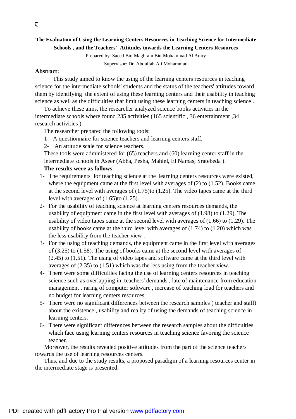### **The Evaluation of Using the Learning Centers Resources in Teaching Science for Intermediate Schools , and the Teachers' Attitudes towards the Learning Centers Resources**

Prepared by: Saeed Bin Maghram Bin Mohammad Al Amry Supervisor: Dr. Abdullah Ali Mohammad

#### **Abstract:**

This study aimed to know the using of the learning centers resources in teaching science for the intermediate schools' students and the status of the teachers' attitudes toward them by identifying the extent of using these learning centers and their usability in teaching science as well as the difficulties that limit using these learning centers in teaching science .

To achieve these aims, the researcher analyzed science books activities in the intermediate schools where found 235 activities (165 scientific , 36 entertainment ,34 research activities ).

The researcher prepared the following tools:

- 1- A questionnaire for science teachers and learning centers staff.
- 2- An attitude scale for science teachers.

These tools were administered for (65) teachers and (60) learning center staff in the intermediate schools in Aseer (Abha, Pesha, Mahiel, El Namas, Sratebeda ).

#### **The results were as follows**:

- 1- The requirements for teaching science at the learning centers resources were existed, where the equipment came at the first level with averages of (2) to (1.52). Books came at the second level with averages of (1.75)to (1.25). The video tapes came at the third level with averages of (1.65)to (1.25).
- 2- For the usability of teaching science at learning centers resources demands, the usability of equipment came in the first level with averages of (1.98) to (1.29). The usability of video tapes came at the second level with averages of (1.66) to (1.29). The usability of books came at the third level with averages of  $(1.74)$  to  $(1.20)$  which was the less usability from the teacher view .
- 3- For the using of teaching demands, the equipment came in the first level with averages of (3.25) to (1.58). The using of books came at the second level with averages of (2.45) to (1.51). The using of video tapes and software came at the third level with averages of (2.35) to (1.51) which was the less using from the teacher view.
- 4- There were some difficulties facing the use of learning centers resources in teaching science such as overlapping in teachers' demands , late of maintenance from education management , raring of computer software , increase of teaching load for teachers and no budget for learning centers resources.
- 5- There were no significant differences between the research samples ( teacher and staff) about the existence , usability and reality of using the demands of teaching science in learning centers.
- 6- There were significant differences between the research samples about the difficulties which face using learning centers resources in teaching science favoring the science teacher.

Moreover, the results revealed positive attitudes from the part of the science teachers towards the use of learning resources centers.

Thus, and due to the study results, a proposed paradigm of a learning resources center in the intermediate stage is presented.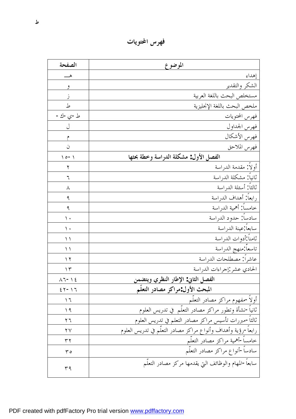**فهرس المحتويات** 

| الصفحة                             | الموضوع                                                     |
|------------------------------------|-------------------------------------------------------------|
|                                    | إهداء                                                       |
| و                                  | الشكر والتقدير                                              |
|                                    | مستخلص البحث باللغة العربية                                 |
| ط                                  | ملخص البحث باللغة الإنحليزية                                |
| ط-ي-ك-                             | فهرس المحتويات                                              |
|                                    | فهرس الجداول                                                |
| م                                  | فهرس الأشكال                                                |
| ن                                  | فهرس الملاحق                                                |
| $\setminus$ 0 - $\setminus$        | الفصل الأول مشكلة الدراسة وخطة بحثها                        |
| ۲                                  | أولال مقدمة الدراسة                                         |
| ٦                                  | ثانياً مشكلة الدراسة                                        |
| ٨                                  | ثالثاً أسئلة الدراسة                                        |
| ٩                                  | رابعاً أهداف الدراسة                                        |
| ٩                                  | خامساً أهمية الدراسة                                        |
| ۰ ۱                                | سادساً حدود الدراسة                                         |
| ۰ ۱                                | سابعا عينة الدراسة                                          |
| ۱۱                                 | ثامناً أدوات الدراسة                                        |
| $\setminus$                        | تاسعا منهج الدراسة                                          |
| ۲ (                                | عاشراً مصطلحات الدراسة                                      |
| $\gamma$                           | الحادي عشر إجراءات الدراسة                                  |
| $\lambda$ 7 - 1 2                  | الفصل الثاني الإطار النظري ويتضمن                           |
| $\xi \, \gamma - \gamma \, \gamma$ | المبحث الأول مراكز مصادر التعلم                             |
| ۲ (                                | أولأ-مفهوم مراكز مصادر التعلُّم                             |
| ۱۹                                 | ثانياً-نشأة وتطور مراكز مصادر التعلُّم ۖ في تدريس العلوم    |
| ۲٦                                 | ثالثاً-مبررات تأسيس مراكز مصادر التعلم في تدريس العلوم      |
| $\mathsf{Y}\mathsf{V}$             | رابعا-رؤية وأهداف وأنواع مراكز مصادر التعلم في تدريس العلوم |
| ۳۲                                 | خامسا-أهمية مراكز مصادر التعلّم                             |
| $\mathbf{r}$                       | سادسآ-أنواع مراكز مصادر التعلُّم                            |
| ۳۹                                 | سابعاً-المهام والوظائف التي يقدمها مركز مصادر التعلُّم      |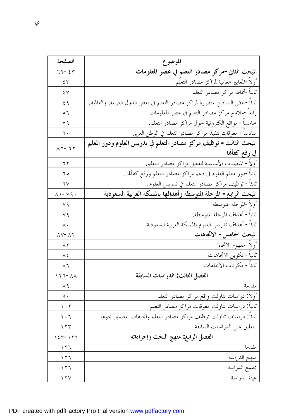| الصفحة                                       | الموضوع                                                                          |
|----------------------------------------------|----------------------------------------------------------------------------------|
| $77 - 27$                                    | المبحث الثاني-مركز مصادر التعلم في عصر المعلومات                                 |
| 57                                           | أولأ-المعايير العالمية لمراكز مصادر التعلّم                                      |
| ٤V                                           | ثانيآ-أنماط مراكز مصادر التعلم                                                   |
| ٤٩                                           | ثالثاً-بعض النماذج المتطورة لمراكز مصادر التعلم في بعض الدول العربية، والعالمية. |
| $\circ$ 7                                    | رابعاً-ملامح مركز مصادر التعلم في عصر المعلومات                                  |
| ० १                                          | خامساً– مواقع الكترونية حول مراكز مصادر التعلم <sub>.</sub>                      |
| ٦.                                           | سادساً- معوقات تنفيذ مراكز مصادر التعلم في الوطن العربي                          |
| $\Lambda$ $\Upsilon$ - $\Upsilon$ $\Upsilon$ | المبحث الثالث- توظيف مركز مصادر التعلم في تدريس العلوم ودور المعلم               |
|                                              | في رفع كفألها                                                                    |
| ٦٢                                           | أولاً – المتطلبات الأساسية لتفعيل مراكز مصادر التعلم.                            |
| ٦0                                           | ثانياً-دور معلم العلوم في دعم مراكز مصادر التعلم ورفع كفأتما.                    |
| ٦٧                                           | ثالثاً- توظيف مراكز مصادر التعلم في تدريس العلوم.                                |
| $\wedge \wedge$ - $\vee$ 9.                  | المبحث الرابع- المرحلة المتوسطة وأهدافها بالمملكة العربية السعودية               |
| $\vee$ 9                                     | أولآ-المرحلة المتوسطة                                                            |
| ٧٩                                           | ثانياً- أهداف المرحلة المتوسطة                                                   |
| $\wedge\cdot$                                | ثالثاً– أهداف تدريس العلوم بالمملكة العربية السعودية                             |
| $\Lambda V - \Lambda Y$                      | المبحث الخامس- الاتجاهات                                                         |
| $\wedge\,\Upsilon$                           | أولأ-مفهوم الاتجاه                                                               |
| $\lambda$ {                                  | ثانياً - تكوين الاتحاهات                                                         |
| $\wedge$ $\vee$                              | ثالثاً - مكونات الاتحاهات                                                        |
| $\Lambda$ $\Lambda$ $\sim$ $\Lambda$         | الفصل الثالث الدراسات السابقة                                                    |
| $\wedge$ 9                                   | مقدمة                                                                            |
| ٩.                                           | أولأ: دراسات تناولت واقع مراكز مصادر التعلم                                      |
| $\eta \cdot \tau$                            | ثانيا دراسات تناولت معوقات مراكز مصادر التعلم                                    |
| $\setminus \cdot 7$                          | ثالثا دراسات تناولت توظيف مراكز مصادر التعلم واتحاهات المعلمين نحوها             |
| $\gamma \gamma \gamma$                       | التعليق على الدراسات السابقة                                                     |
| $157 - 177$                                  | الفصل الرابع منهج البحث وإجراءاته                                                |
| ۲ ۲ ۱                                        | مقدمة                                                                            |
| 111                                          | منهج الدراسة                                                                     |
| ۱۲٦                                          | محتمع الدراسة                                                                    |
| $\gamma \gamma$                              | عينة الدراسة                                                                     |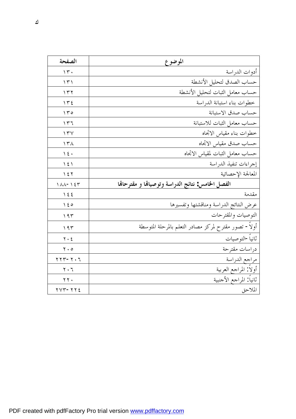| الصفحة                                | الموضوع                                                |
|---------------------------------------|--------------------------------------------------------|
| $\gamma$ .                            | أدوات الدراسة                                          |
| ۱۳۱                                   | حساب الصدق لتحليل الأنشطة                              |
| ۱۳۲                                   | حساب معامل الثبات لتحليل الأنشطة                       |
| $\gamma \uparrow \epsilon$            | خطوات بناء استبانة الدراسة                             |
| $\gamma \uparrow \circ$               | حساب صدق الاستبانة                                     |
| ۲ ۳ ۱                                 | حساب معامل الثبات للاستبانة                            |
| $\gamma \gamma$                       | خطوات بناء مقياس الاتجاه                               |
| $\gamma \gamma$                       | حساب صدق مقياس الاتحاه                                 |
| $\backslash$ { $\cdot$                | حساب معامل الثبات لمقياس الاتحاه                       |
| $\backslash$ { $\backslash$           | إجراءات تنفيذ الدراسة                                  |
| ۲ ٤ ۲                                 | المعالجة الإحصائية                                     |
| $\Lambda\Lambda - \Lambda$            | الفصل الخامس نتائج الدراسة وتوصياقا و مقترحاقا         |
| $\backslash$ { {                      | مقدمة                                                  |
| $\setminus$ { $\circ$                 | عرض النتائج الدراسة ومناقشتها وتفسيرها                 |
| ۱۹۳                                   | التوصيات والمقترحات                                    |
| 197                                   | أولاً- تصور مقترح لمركز مصادر التعلم بالمرحلة المتوسطة |
| $\mathbf{y} \cdot \mathbf{z}$         | ثانياً -التوصيات                                       |
| $\mathbf{y} \cdot \mathbf{0}$         | دراسات مقترحة                                          |
| $\gamma \gamma - \gamma \cdot \gamma$ | مراجع الدراسة                                          |
| $\mathbf{y} \cdot \mathbf{y}$         | أولا المراجع العربية                                   |
| $\gamma \gamma$ .                     | ثانيا المراجع الأجنبية                                 |
| $YVY-YYE$                             | الملاحق                                                |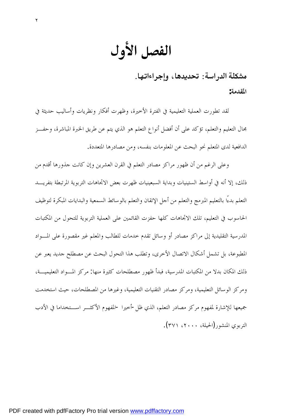الفصل الأول

٢

مشكلة الدراسة: تحديدها، وإجراءاتها. **المقدمة:** 

لقد تطورت العملية التعليمية في الفترة الأخيرة، وظهرت أفكار ونظريات وأساليب حديثة في مجال التعليم والتعلم، تؤكد على أن أفضل أنواع التعلم هو الذي يتم عن طريق الخبرة المباشرة، وحفـز الدافعية لدى المتعلم نحو البحث عن المعلومات بنفسه، ومن مصادرها المتعددة.

وعلى الرغم من أن ظهور مراكز مصادر التعلم في القرن العشرين وإن كانت جذورها أقدم من ذلك، إلا أنه في أواسط الستينيات وبداية السبعينيات ظهرت بعض الاتجاهات التربوية المرتبطة بتفريـد التعلم بدءًا بالتعليم المبرمج والتعلم من أجل الإتقان والتعلم بالوسائط السمعية والبدايات المبكرة لتوظيف الحاسوب في التعليم، تلك الاتجاهات كلها حفزت القائمين على العملية التربوية للتحول من المكتبات المدرسية التقليدية إلى مراكز مصادر أو وسائل تقدم خدمات للطالب والمعلم غير مقصورة على المـواد المطبوعة، بل تشمل أشكال الاتصال الأخرى، وتطلب هذا التحول البحث عن مصطلح جديد يعبر عن ذلك المكان بدلا من المكتبات المدرسية، فبدأ ظهور مصطلحات كثيرة منها: مركز المـواد التعليميـة، ومركز الوسائل التعليمية، ومركز مصادر التقنيات التعليمية، وغيرها من المصطلحات، حيث استخدمت جميعها للإشارة لمفهوم مركز مصادر التعلم، الذي ظل-أخيرا -المفهوم الأكثـر اسـتخداما في الأدب التربوي المنشور(الحيلة، ،٢٠٠٠ ٣٧١).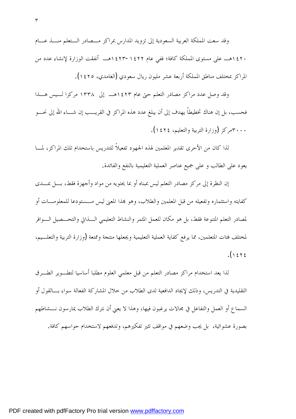وقد سعت المملكة العربية السعودية إلى تزويد المدارس بمراكز مـصادر الـتعلم منـذ عـام ١٤٢٠هـ على مستوى المملكة كافة؛ ففي عام ١٤٢٣-١٤٢٢هـ أنفقت الوزارة لإنشاء عدد من المراكز بمختلف مناطق المملكة أربعة عشر مليون ريال سعودي (الغامدي، ١٤٢٥).

وقد وصل عدد مراكز مصادر التعلم حتى عام ١٤٢٣هـ إلى ١٣٣٨ مركزا لـيس هـذا فحسب، بل إن هناك تخطيطاً يهدف إلى أن يبلغ عدد هذه المراكز في القريـب إن شـاء االله إلى نحـو ٣٠٠٠مركز (وزارة التربية والتعليم، ١٤٢٤).

لذا كان من الأحرى تقدير المعلمين لهذه الجهود تفعيلاً للتدريس باستخدام تلك المراكز، لمـا يعود على الطالب و على جميع عناصر العملية التعليمية بالنفع والفائدة.

إن النظرة إلى مركز مصادر التعلم ليس بمبناه أو بما يحتويه من مواد وأجهزة فقط، بـل بمـدى كفايته واستثماره وتفعيله من قبل المعلمين والطلاب، وهو بمذا المعنى ليس مـــستودعا للمعلومـــات أو لمصادر التعلم المتنوعة فقط، بل هو مكان للعمل المثمر والنشاط التعليمي الـذاتي والتحـصيل الـوافر لمختلف فئات المتعلمين، مما يرفع كفاية العملية التعليمية ويجعلها منتجة وممتعة (وزارة التربية والتعلـيم،  $(1575$ 

لذا يعد استخدام مراكز مصادر التعلم من قبل معلمي العلوم مطلبا أساسيا لتطـوير الطـرق التقليدية في التدريس، وذلك لإيجاد الدافعية لدى الطلاب من خلال المشاركة الفعالة سواء بـالقول أو السماع أو العمل والتفاعل في مجالات يرغبون فيها، وهذا لا يعني أن نترك الطلاب يمارسون نـشاطهم بصورة عشوائية، بل يجب وضعهم في مواقف تثير تفكيرهم، وتدفعهم لاستخدام حواسهم كافة.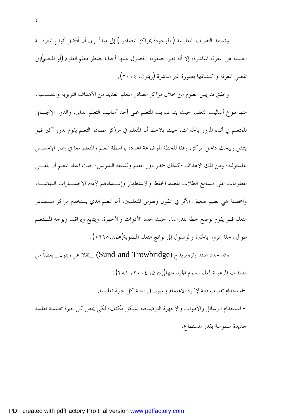وتستند التقنيات التعليمية ( الموجودة بمراكز المصادر ) إلى مبدأ يرى أن أفضل أنواع المعرفـة العلمية هي المعرفة المباشرة، إلا أنه نظرا لصعوبة الحصول عليها أحيانا يضطر معلم العلوم (أو المتعلم)إلى تقصي المعرفة واكتشافها بصورة غير مباشرة (زيتون، ٢٠٠٤).

ويحقق تدريس العلوم من خلال مراكز مصادر التعلم العديد من الأهداف التربوية والنفـسية، منها تنوع أساليب التعلم، حيث يتم تدريب المتعلم على أحد أساليب التعلم الذاتي، والدور الإيجـابي للمتعلم في أثناء المرور بالخبرات، حيث يلاحظ أن المتعلم في مراكز مصادر التعلم يقوم بدور أكبر فهو يتنقل ويبحث داخل المركز، وفقا للخطة الموضوعة المحددة بواسطة المعلم والمتعلم معا في إطار الإحساس بالمسئولية؛ ومن تلك الأهداف-كذلك-تغير دور المعلم وفلسفة التدريس؛ حيث اعتاد المعلم أن يلقـي المعلومات على مسامع الطلاب بقصد الحفظ والاستظهار وإعـدادهم لأداء الاختبـارات النهائيـة، والمحصلة هي تعليم ضعيف الأثر في عقول ونفوس المتعلمين، أما المعلم الذي يستخدم مراكز مـــصادر التعلم فهو يقوم بوضع خطة للدراسة، حيث يحدد الأدوات والأجهزة، ويتابع ويراقب ويوجه المـتعلم طوال رحلة المرور بالخبرة والوصول إلى نواتج التعلم المطلوبة(محمد١٩٩٥،).

وقد حدد صند وتروبريدج (Trowbridge and Sund\_ (نقلاً عن زيتون\_ بعضاً من الصفات المرغوبة لمعلم العلوم الجيد منها(زيتون، ،٢٠٠٤ ٢٨١):

استخدام تقنيات فنية لإثارة الاهتمام والميول في بداية كل خبرة تعليمية.

- استخدام الوسائل والأدوات والأجهزة التوضيحية بشكل مكثف؛ لك<sup>ي</sup> يجعل كل خبرة تعليمية تعلمية-جديدة ملموسة بقدر المستطاع.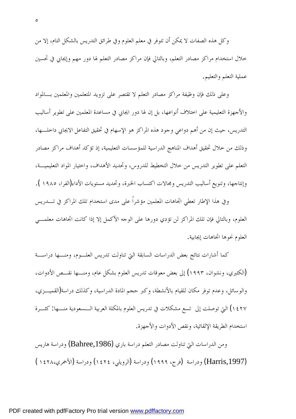وكل هذه الصفات لا يمكن أن تتوفر في معلم العلوم وفي طرائق التدريس بالشكل التام، إلا من خلال استخدام مراكز مصادر التعلم، وبالتالي فإن مراكز مصادر التعلم لها دور مهم وإيجابي في تحسين عملية التعلم والتعليم.

 وعلى ذلك فإن وظيفة مراكز مصادر التعلم لا تقتصر على تزويد المتعلمين والمعلمين بـالمواد والأجهزة التعليمية على اختلاف أنواعها، بل إن لها دور ايجابي في مساعدة المعلمين على تطوير أساليب التدريس، حيث إن من أهم دواعي وجود هذه المراكز هو الإسهام في تحقيق التفاعل الايجابي داخلـها، وذلك من خلال تحقيق أهداف المناهج الدراسية للمؤسسات التعليمية، إذ تؤكد أهداف مراكز مصادر التعلم على تطوير التدريس من خلال التخطيط للدروس، وتحديد الأهداف، واختيار المواد التعليميـة، وإنتاجها، وتنويع أساليب التدريس ومجالات اكتساب الخبرة، وتحديد مستويات الأداء(الفرا، ١٩٨٥ ).

وفي هذا الإطار تعطي اتجاهات المعلمين مؤشراً على مدى استخدام تلك المراكز في تـدريس العلوم، وبالتالي فإن تلك المراكز لن تؤدي دورها على الوجه الأكمل إلا إذا كانت اتجاهات معلمـي العلوم نحوها اتجاهات إيجابية.

كما أشارات نتائج بعض الدراسات السابقة التي تناولت تدريس العلـوم، ومنـها دراسـة (الكثيري، ونشوان، ١٩٩٣) إلى بعض معوقات تدريس العلوم بشكل عام، ومنـها نقـص الأدوات، والوسائل، وعدم توفر مكان للقيام بالأنشطة، وكبر حجم المادة الدراسية، وكذلك دراسة(القميـزي، ١٤٢٧) التي توصلت إلى تسع مشكلات في تدريس العلوم بالمكلة العربية الـسعودية منـها: كثـرة استخدام الطريقة الإلقائية، ونقص الأدوات والأجهزة.

ومن الدراسات التي تناولت مصادر التعلم دراسة باري (Bahree,1986) ودراسة هاريس (,1997Harris (ودراسة (فرج، ١٩٩٩) ودراسة (الرويلي، ١٤٢٤) ودراسة (الأحمري١٤٢٨، )